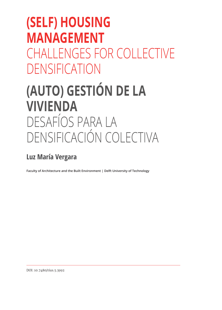# **(SELF) HOUSING MANAGEMENT**

CHALLENGES FOR COLLECTIVE DENSIFICATION

## **(AUTO) GESTIÓN DE LA VIVIENDA** DESAFÍOS PARA LA DENSIFICACIÓN COLECTIVA

## **Luz María Vergara**

**Faculty of Architecture and the Built Environment | Delft University of Technology**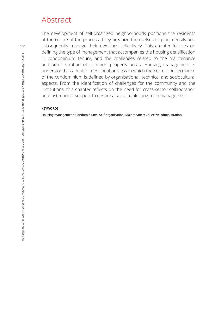### Abstract

The development of self-organized neighborhoods positions the residents at the centre of the process. They organize themselves to plan, densify and subsequently manage their dwellings collectively. This chapter focuses on defining the type of management that accompanies the housing densification in condominium tenure, and the challenges related to the maintenance and administration of common property areas. Housing management is understood as a multidimensional process in which the correct performance of the condominium is defined by organisational, technical and sociocultural aspects. From the identification of challenges for the community and the institutions, this chapter reflects on the need for cross-sector collaboration and institutional support to ensure a sustainable long-term management.

#### **KEYWORDS**

Housing management; Condominiums; Self-organization; Maintenance; Collective administration.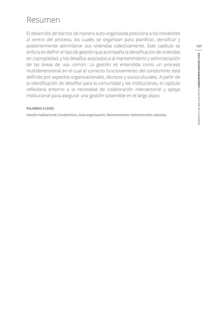## Resumen

El desarrollo de barrios de manera auto-organizada posiciona a los residentes al centro del proceso, los cuales se organizan para planificar, densificar y posteriormente administrar sus viviendas colectivamente. Este capítulo se enfoca en definir el tipo de gestión que acompaña la densificacion de viviendas en copropiedad, y los desafíos asociados a al mantenimiento y administración de las áreas de uso común. La gestión es entendida como un proceso multidimensional en el cual el correcto funcionamiento del condominio está definido por aspectos organizacionales, técnicos y socioculturales. A partir de la identificación de desafíos para la comunidad y las instituciones, el capítulo reflexiona entorno a la necesidad de colaboración intersectorial y apoyo institucional para asegurar una gestión sostenible en el largo plazo.

### **PALABRAS CLAVES**

Gestión habitacional; Condominios, Auto-organización; Mantenimiento; Administración colectiva.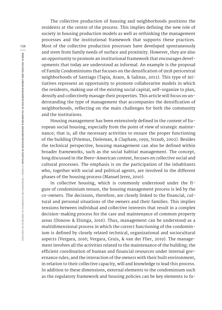The collective production of housing and neighborhoods positions the residents at the centre of the process. This implies defining the new role of society in housing production models as well as rethinking the management processes and the institutional framework that supports these practices. Most of the collective production processes have developed spontaneously and stem from family needs of surface and proximity. However, they are also an opportunity to promote an institutional framework that encourages developments that today are understood as informal. An example is the proposal of Family Condominiums that focuses on the densification of 9x18 pericentral neighborhoods of Santiago (Tapia, Araos, & Salinas, 2012). This type of initiatives represent an opportunity to promote collaborative models in which the residents, making use of the existing social capital, self-organize to plan, densify and collectively manage their properties. This article will focus on understanding the type of management that accompanies the densification of neighborhoods, reflecting on the main challenges for both the community and the institutions.

Housing management has been extensively defined in the context of European social housing, especially from the point of view of strategic maintenance; that is, all the necessary activities to ensure the proper functioning of the building (Priemus, Dieleman, & Clapham, 1999, Straub, 2002). Besides the technical perspective, housing management can also be defined within broader frameworks, such as the social habitat management. The concept, long discussed in the Ibero-American context, focuses on collective social and cultural processes. The emphasis is on the participation of the inhabitants who, together with social and political agents, are involved in the different phases of the housing process (Manuel Jerez, 2010).

In collective housing, which is commonly understood under the figure of condominium tenure, the housing management process is led by the co-owners. The decisions, therefore, are closely linked to the financial, cultural and personal situations of the owners and their families. This implies tensions between individual and collective interests that result in a complex decision-making process for the care and maintenance of common property areas (Donoso & Elsinga, 2016). Thus, management can be understood as a multidimensional process in which the correct functioning of the condominium is defined by closely related technical, organizational and sociocultural aspects (Vergara, 2016; Vergara, Gruis, & van der Flier, 2019). The management involves all the activities related to the maintenance of the building; the efficient coordination of human and financial resources under internal governance rules; and the interaction of the owners with their built environment, in relation to their collective capacity, will and knowledge to lead this process. In addition to these dimensions, external elements to the condominium such as the regulatory framework and housing policies can be key elements to fa-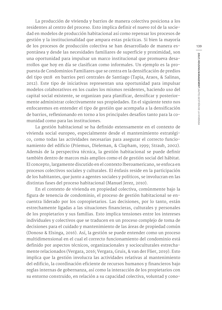La producción de vivienda y barrios de manera colectiva posiciona a los residentes al centro del proceso. Esto implica definir el nuevo rol de la sociedad en modelos de producción habitacional así como repensar los procesos de gestión y la institucionalidad que ampara estas prácticas. Si bien la mayoría de los procesos de producción colectiva se han desarrollado de manera espontánea y desde las necesidades familiares de superficie y proximidad, son una oportunidad para impulsar un marco institucional que promueva desarrollos que hoy en día se clasifican como informales. Un ejemplo es la propuesta de Condominios Familiares que se centra en la densificación de predios del tipo 9x18 en barrios peri centrales de Santiago (Tapia, Araos, & Salinas, 2012). Este tipo de iniciativas representan una oportunidad para impulsar modelos colaborativos en los cuales los mismos residentes, haciendo uso del capital social existente, se organizan para planificar, densificar y posteriormente administrar colectivamente sus propiedades. En el siguiente texto nos enfocaremos en entender el tipo de gestión que acompaña a la densificación de barrios, reflexionando en torno a los principales desafíos tanto para la comunidad como para las instituciones.

La gestión habitacional se ha definido extensamente en el contexto de vivienda social europeo, especialmente desde el mantenimiento estratégico, como todas las actividades necesarias para asegurar el correcto funcionamiento del edificio (Priemus, Dieleman, & Clapham, 1999; Straub, 2002). Además de la perspectiva técnica, la gestión habitacional se puede definir también dentro de marcos más amplios como el de gestión social del hábitat. El concepto, largamente discutido en el contexto Iberoamericano, se enfoca en procesos colectivos sociales y culturales. El énfasis reside en la participación de los habitantes, que junto a agentes sociales y políticos, se involucran en las distintas fases del proceso habitacional (Manuel Jerez, 2010).

En el contexto de vivienda en propiedad colectiva, comúnmente bajo la figura de tenencia de condominio, el proceso de gestión habitacional se encuentra liderado por los copropietarios. Las decisiones, por lo tanto, están estrechamente ligadas a las situaciones financieras, culturales y personales de los propietarios y sus familias. Esto implica tensiones entre los intereses individuales y colectivos que se traducen en un proceso complejo de toma de decisiones para el cuidado y mantenimiento de las áreas de propiedad común (Donoso & Elsinga, 2016). Así, la gestión se puede entender como un proceso multidimensional en el cual el correcto funcionamiento del condominio está definido por aspectos técnicos, organizacionales y socioculturales estrechamente relacionados (Vergara, 2016; Vergara, Gruis, & van der Flier, 2019). Esto implica que la gestión involucra las actividades relativas al mantenimiento del edificio, la coordinación eficiente de recursos humanos y financieros bajo reglas internas de gobernanza, así como la interacción de los propietarios con su entorno construido, en relación a su capacidad colectiva, voluntad y cono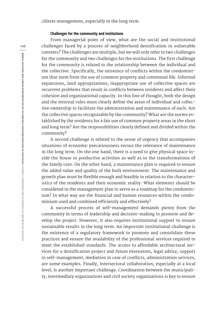cilitate management, especially in the long term.

### **Challenges for the community and institutions**

From managerial point of view, what are the social and institutional challenges faced by a process of neighborhood densification in vulnerable contexts? The challenges are multiple, but we will only refer to two challenges for the community and two challenges for the institutions. The first challenge for the community is related to the relationship between the individual and the collective. Specifically, the existence of conflicts within the condominium that stem from the use of common property and communal life. Informal expansions, land appropriations, inappropriate use of collective spaces are recurrent problems that result in conflicts between residents and affect their cohesion and organizational capacity. In this line of thought, both the design and the internal rules must clearly define the areas of individual and collective ownership to facilitate the administration and maintenance of each. Are the collective spaces recognizable by the community? What are the norms established by the residents for a fair use of common property areas in the short and long term? Are the responsibilities clearly defined and divided within the community?

A second challenge is related to the sense of urgency that accompanies situations of economic precariousness versus the relevance of maintenance in the long term. On the one hand, there is a need to give physical space inside the house to productive activities as well as to the transformations of the family core. On the other hand, a maintenance plan is required to ensure the added value and quality of the built environment. The maintenance and growth plan must be flexible enough and feasible in relation to the characteristics of the residents and their economic reality. What elements should be considered in the management plan to serve as a roadmap for the condominium? In what way are the financial and human resources within the condominium used and combined efficiently and effectively?

A successful process of self-management demands plenty from the community in terms of leadership and decision-making to promote and develop the project. However, it also requires institutional support to ensure sustainable results in the long term. An important institutional challenge is the existence of a regulatory framework to promote and consolidate these practices and ensure the availability of the professional services required to meet the established standards. The access to affordable architectural services for a densification project and future extensions, legal advice, support in self-management, mediation in case of conflicts, administration services, are some examples. Finally, intersectoral collaboration, especially at a local level, is another important challenge. Coordination between the municipality, intermediary organizations and civil society organizations is key to ensure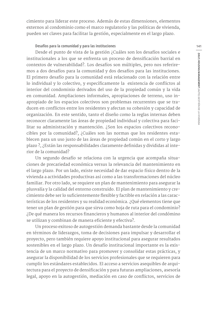cimiento para liderar este proceso. Además de estas dimensiones, elementos externos al condominio como el marco regulatorio y las políticas de vivienda, pueden ser claves para facilitar la gestión, especialmente en el largo plazo.

### **Desafíos para la comunidad y para las instituciones**

Desde el punto de vista de la gestión ¿Cuáles son los desafíos sociales e institucionales a los que se enfrenta un proceso de densificación barrial en contextos de vulnerabilidad?. Los desafíos son múltiples, pero nos referiremos a dos desafíos para la comunidad y dos desafíos para las instituciones. El primero desafío para la comunidad está relacionado con la relación entre lo individual y lo colectivo, y específicamente la existencia de conflictos al interior del condominio derivados del uso de la propiedad común y la vida en comunidad. Ampliaciones informales, apropiaciones de terreno, uso inapropiado de los espacios colectivos son problemas recurrentes que se traducen en conflictos entre los residentes y afectan su cohesión y capacidad de organización. En este sentido, tanto el diseño como la reglas internas deben reconocer claramente las áreas de propiedad individual y colectiva para facilitar su administración y mantención. ¿Son los espacios colectivos reconocibles por la comunidad?, ¿Cuáles son las normas que los residentes establecen para un uso justo de las áreas de propiedad común en el corto y largo plazo ?, ¿Están las responsabilidades claramente definidas y divididas al interior de la comunidad?

Un segundo desafío se relaciona con la urgencia que acompaña situaciones de precariedad económica versus la relevancia del mantenimiento en el largo plazo. Por un lado, existe necesidad de dar espacio físico dentro de la vivienda a actividades productivas así como a las transformaciones del núcleo familiar. Por otro lado, se requiere un plan de mantenimiento para asegurar la plusvalía y la calidad del entorno construido. El plan de mantenimiento y crecimiento debe ser lo suficientemente flexible y factible en relación a las características de los residentes y su realidad económica. ¿Qué elementos tiene que tener un plan de gestión para que sirva como hoja de ruta para el condominio? ¿De qué manera los recursos financieros y humanos al interior del condómino se utilizan y combinan de manera eficiente y efectiva?.

Un proceso exitoso de autogestión demanda bastante desde la comunidad en términos de liderazgos, toma de decisiones para impulsar y desarrollar el proyecto, pero también requiere apoyo institucional para asegurar resultados sostenibles en el largo plazo. Un desafío institucional importante es la existencia de un marco normativo para promover y consolidar estas prácticas, y asegurar la disponibilidad de los servicios profesionales que se requieren para cumplir los estándares establecidos. El acceso a servicios asequibles de arquitectura para el proyecto de densificación y para futuras ampliaciones, asesoría legal, apoyo en la autogestión, mediación en caso de conflictos, servicios de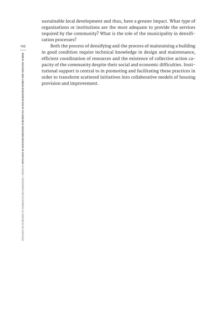sustainable local development and thus, have a greater impact. What type of organizations or institutions are the most adequate to provide the services required by the community? What is the role of the municipality in densification processes?

Both the process of densifying and the process of maintaining a building in good condition require technical knowledge in design and maintenance, efficient coordination of resources and the existence of collective action capacity of the community despite their social and economic difficulties. Institutional support is central to in promoting and facilitating these practices in order to transform scattered initiatives into collaborative models of housing provision and improvement.

**142**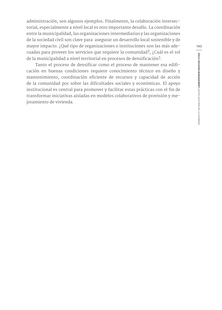administración, son algunos ejemplos. Finalmente, la colaboración intersectorial, especialmente a nivel local es otro importante desafío. La coordinación entre la municipalidad, las organizaciones intermediarias y las organizaciones de la sociedad civil son clave para asegurar un desarrollo local sostenible y de mayor impacto. ¿Qué tipo de organizaciones o instituciones son las más adecuadas para proveer los servicios que requiere la comunidad?, ¿Cuál es el rol de la municipalidad a nivel territorial en procesos de densificación?.

Tanto el proceso de densificar como el proceso de mantener esa edificación en buenas condiciones requiere conocimiento técnico en diseño y mantenimiento, coordinación eficiente de recursos y capacidad de acción de la comunidad por sobre las dificultades sociales y económicas. El apoyo institucional es central para promover y facilitar estas prácticas con el fin de transformar iniciativas aisladas en modelos colaborativos de provisión y mejoramiento de vivienda.